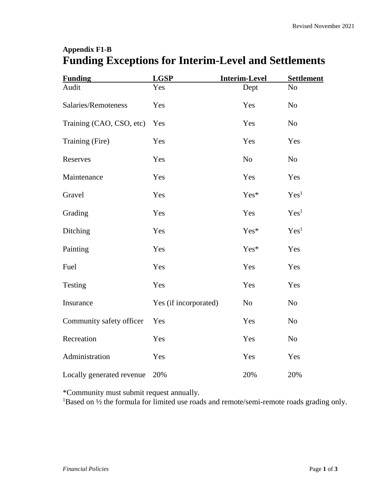## **Appendix F1-B Funding Exceptions for Interim-Level and Settlements**

| <b>Funding</b>            | <b>LGSP</b>           | <b>Interim-Level</b> | <b>Settlement</b> |
|---------------------------|-----------------------|----------------------|-------------------|
| Audit                     | Yes                   | Dept                 | N <sub>o</sub>    |
| Salaries/Remoteness       | Yes                   | Yes                  | N <sub>o</sub>    |
| Training (CAO, CSO, etc)  | Yes                   | Yes                  | N <sub>o</sub>    |
| Training (Fire)           | Yes                   | Yes                  | Yes               |
| Reserves                  | Yes                   | N <sub>o</sub>       | N <sub>o</sub>    |
| Maintenance               | Yes                   | Yes                  | Yes               |
| Gravel                    | Yes                   | Yes*                 | Yes <sup>1</sup>  |
| Grading                   | Yes                   | Yes                  | Yes <sup>1</sup>  |
| Ditching                  | Yes                   | Yes*                 | Yes <sup>1</sup>  |
| Painting                  | Yes                   | Yes*                 | Yes               |
| Fuel                      | Yes                   | Yes                  | Yes               |
| Testing                   | Yes                   | Yes                  | Yes               |
| Insurance                 | Yes (if incorporated) | No                   | N <sub>o</sub>    |
| Community safety officer  | Yes                   | Yes                  | N <sub>0</sub>    |
| Recreation                | Yes                   | Yes                  | N <sub>o</sub>    |
| Administration            | Yes                   | Yes                  | Yes               |
| Locally generated revenue | 20%                   | 20%                  | 20%               |

\*Community must submit request annually.

<sup>1</sup>Based on <sup>1</sup>/<sub>2</sub> the formula for limited use roads and remote/semi-remote roads grading only.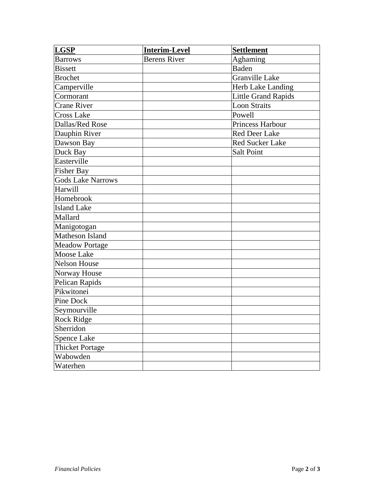| <b>LGSP</b>              | <b>Interim-Level</b> | <b>Settlement</b>          |
|--------------------------|----------------------|----------------------------|
| <b>Barrows</b>           | <b>Berens River</b>  | Aghaming                   |
| <b>Bissett</b>           |                      | <b>Baden</b>               |
| <b>Brochet</b>           |                      | <b>Granville Lake</b>      |
| Camperville              |                      | Herb Lake Landing          |
| Cormorant                |                      | <b>Little Grand Rapids</b> |
| <b>Crane River</b>       |                      | <b>Loon Straits</b>        |
| <b>Cross Lake</b>        |                      | Powell                     |
| Dallas/Red Rose          |                      | <b>Princess Harbour</b>    |
| Dauphin River            |                      | <b>Red Deer Lake</b>       |
| Dawson Bay               |                      | Red Sucker Lake            |
| Duck Bay                 |                      | <b>Salt Point</b>          |
| Easterville              |                      |                            |
| <b>Fisher Bay</b>        |                      |                            |
| <b>Gods Lake Narrows</b> |                      |                            |
| Harwill                  |                      |                            |
| Homebrook                |                      |                            |
| <b>Island Lake</b>       |                      |                            |
| Mallard                  |                      |                            |
| Manigotogan              |                      |                            |
| Matheson Island          |                      |                            |
| <b>Meadow Portage</b>    |                      |                            |
| <b>Moose Lake</b>        |                      |                            |
| <b>Nelson House</b>      |                      |                            |
| Norway House             |                      |                            |
| Pelican Rapids           |                      |                            |
| Pikwitonei               |                      |                            |
| Pine Dock                |                      |                            |
| Seymourville             |                      |                            |
| <b>Rock Ridge</b>        |                      |                            |
| Sherridon                |                      |                            |
| <b>Spence Lake</b>       |                      |                            |
| <b>Thicket Portage</b>   |                      |                            |
| Wabowden                 |                      |                            |
| Waterhen                 |                      |                            |